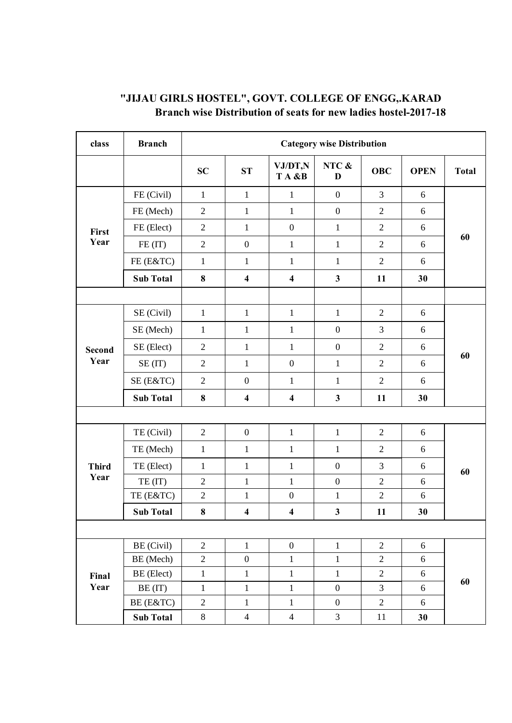| class                 | <b>Branch</b>    | <b>Category wise Distribution</b> |                         |                         |                         |                |                  |              |
|-----------------------|------------------|-----------------------------------|-------------------------|-------------------------|-------------------------|----------------|------------------|--------------|
|                       |                  | <b>SC</b>                         | <b>ST</b>               | VJ/DT,N<br>TA &B        | NTC &<br>D              | <b>OBC</b>     | <b>OPEN</b>      | <b>Total</b> |
| First<br>Year         | FE (Civil)       | $\mathbf{1}$                      | $\mathbf{1}$            | $\mathbf{1}$            | $\boldsymbol{0}$        | $\overline{3}$ | 6                | 60           |
|                       | FE (Mech)        | $\overline{2}$                    | $\mathbf{1}$            | $\mathbf{1}$            | $\boldsymbol{0}$        | $\overline{2}$ | 6                |              |
|                       | FE (Elect)       | $\overline{2}$                    | $\mathbf{1}$            | $\boldsymbol{0}$        | $\mathbf{1}$            | $\overline{2}$ | 6                |              |
|                       | FE (IT)          | $\overline{2}$                    | $\boldsymbol{0}$        | $\mathbf{1}$            | $\mathbf{1}$            | $\overline{2}$ | 6                |              |
|                       | FE (E&TC)        | $\mathbf{1}$                      | $\mathbf{1}$            | $\mathbf{1}$            | $\mathbf{1}$            | $\overline{2}$ | 6                |              |
|                       | <b>Sub Total</b> | 8                                 | $\overline{\mathbf{4}}$ | $\overline{\mathbf{4}}$ | $\overline{\mathbf{3}}$ | 11             | 30               |              |
|                       |                  |                                   |                         |                         |                         |                |                  |              |
| <b>Second</b><br>Year | SE (Civil)       | $\mathbf{1}$                      | $\mathbf{1}$            | $\mathbf{1}$            | $\mathbf{1}$            | $\overline{2}$ | 6                | 60           |
|                       | SE (Mech)        | $\mathbf{1}$                      | $\mathbf{1}$            | $\mathbf{1}$            | $\boldsymbol{0}$        | 3              | 6                |              |
|                       | SE (Elect)       | $\overline{2}$                    | $\mathbf{1}$            | $\mathbf{1}$            | $\boldsymbol{0}$        | $\overline{2}$ | 6                |              |
|                       | SE(T)            | $\mathfrak{2}$                    | $\mathbf{1}$            | $\boldsymbol{0}$        | $\mathbf{1}$            | $\sqrt{2}$     | 6                |              |
|                       | SE (E&TC)        | $\overline{2}$                    | $\boldsymbol{0}$        | $\mathbf{1}$            | $\mathbf{1}$            | $\overline{2}$ | 6                |              |
|                       | <b>Sub Total</b> | $\bf 8$                           | $\overline{\mathbf{4}}$ | $\overline{\mathbf{4}}$ | $\mathbf{3}$            | 11             | 30               |              |
|                       |                  |                                   |                         |                         |                         |                |                  |              |
|                       | TE (Civil)       | $\overline{2}$                    | $\boldsymbol{0}$        | $\mathbf{1}$            | $\mathbf{1}$            | $\overline{2}$ | 6                | 60           |
|                       | TE (Mech)        | $\mathbf{1}$                      | $\mathbf{1}$            | $\mathbf{1}$            | $\mathbf{1}$            | $\overline{2}$ | 6                |              |
| <b>Third</b>          | TE (Elect)       | $\mathbf{1}$                      | $\mathbf{1}$            | $\mathbf{1}$            | $\boldsymbol{0}$        | 3              | 6                |              |
| Year                  | TE(IT)           | $\overline{2}$                    | $\mathbf{1}$            | $\mathbf{1}$            | $\boldsymbol{0}$        | $\overline{2}$ | 6                |              |
|                       | TE (E&TC)        | $\sqrt{2}$                        | $\mathbf{1}$            | $\boldsymbol{0}$        | $\mathbf{1}$            | $\overline{2}$ | 6                |              |
|                       | <b>Sub Total</b> | $\bf 8$                           | $\overline{\mathbf{4}}$ | $\overline{\mathbf{4}}$ | $\mathbf{3}$            | 11             | 30               |              |
|                       |                  |                                   |                         |                         |                         |                |                  |              |
|                       | BE (Civil)       | $\overline{2}$                    | $\mathbf{1}$            | $\boldsymbol{0}$        | $\mathbf{1}$            | $\overline{2}$ | 6                | 60           |
| Final<br>Year         | BE (Mech)        | $\overline{2}$                    | $\boldsymbol{0}$        | $\,1$                   | $\mathbf 1$             | $\overline{2}$ | $\boldsymbol{6}$ |              |
|                       | BE (Elect)       | $\mathbf{1}$                      | $\mathbf{1}$            | $1\,$                   | $\mathbf{1}$            | $\overline{2}$ | 6                |              |
|                       | BE (IT)          | $\mathbf{1}$                      | $\mathbf{1}$            | $\mathbf 1$             | $\boldsymbol{0}$        | $\overline{3}$ | 6                |              |
|                       | BE (E&TC)        | $\overline{2}$                    | $\mathbf{1}$            | $\mathbf{1}$            | $\boldsymbol{0}$        | $\sqrt{2}$     | 6                |              |
|                       | <b>Sub Total</b> | $8\,$                             | $\overline{4}$          | $\overline{4}$          | $\overline{3}$          | $11\,$         | 30               |              |

## **"JIJAU GIRLS HOSTEL", GOVT. COLLEGE OF ENGG,.KARAD Branch wise Distribution of seats for new ladies hostel-2017-18**